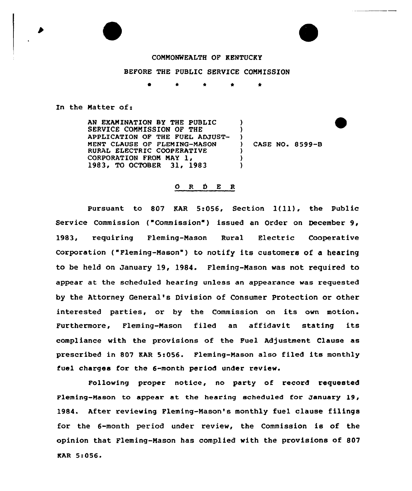## COMMONWEALTH OF KENTUCKY

## BEFORE THE PUBLIC SERVICE COMMISSION

\* ٠

In the Matter of:

AN EXAMINATION BY THE PUBLIC SERVICE COMMISSION OF THE APPLICATION OF THE FUEL ADJUST-NENT CIAUSE OF FLEMING-MASON RURAL ELECTRIC COOPERATIVE CORPORATION FROM MAY 1, 1983, TO OCTOBER 31, 1983  $\lambda$ )  $\frac{1}{2}$ ) CASE NO. 8599-B ) ) )

## ORDER

Pursuant to <sup>807</sup> KAR 5:056, Section l(ll), the Public Service Commission ("Commission") issued an Order on December 9, 1983, requiring Fleming-Mason Rural Electric Cooperative Corporation ("Fleming-Mason") to notify its customers of a hearing to be held on January 19, 1984. Fleming-Mason was not required to appear at the scheduled hearing unless an appearance was requested by the Attorney General's Division of Consumer Protection or other interested parties, or by the Commission on its own motion. Furthermore, Fleming-Mason filed an affidavit stating its compliance with the provisions of the Fuel Adjustment Clause as prescribed in 807 RAR 5:056. Fleming-Mason also filed its monthly fuel charges for the 6-month period under review.

Following proper notice, no party of record requested Fleming-Mason to appear at the hearing scheduled for January l9, 1984. After reviewing Fleming-Mason's monthly fuel clause filings for the 6-month period under review, the Commission is of the opinion that Fleming-Mason has complied with the provisions of 807 KAR 5:056'